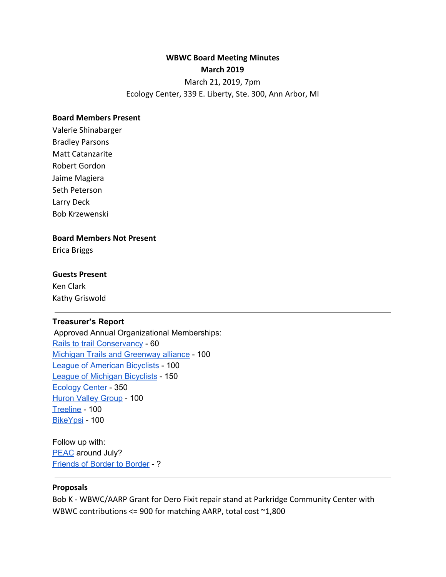# **WBWC Board Meeting Minutes March 2019**

March 21, 2019, 7pm

## Ecology Center, 339 E. Liberty, Ste. 300, Ann Arbor, MI

#### **Board Members Present**

Valerie Shinabarger Bradley Parsons Matt Catanzarite Robert Gordon Jaime Magiera Seth Peterson Larry Deck Bob Krzewenski

# **Board Members Not Present**

Erica Briggs

### **Guests Present**

Ken Clark Kathy Griswold

### **Treasurer's Report**

Approved Annual Organizational Memberships: Rails to trail [Conservancy](https://www.railstotrails.org/) - 60 Michigan Trails and [Greenway](https://michigantrails.org/) alliance - 100 League of [American](https://www.bikeleague.org/) Bicyclists - 100 League of Michigan [Bicyclists](https://www.lmb.org/) - 150 [Ecology](https://www.ecocenter.org/) Center - 350 Huron Valley [Group](https://www.sierraclub.org/michigan/huron-valley) - 100 [Treeline](https://treelinea2.org/vision/) - 100 [BikeYpsi](https://bike.ypsi.org/) - 100

Follow up with: [PEAC](https://www.bikeprogram.org/) around July? [Friends](http://www.bordertoborder.org/) of Border to Border - ?

#### **Proposals**

Bob K - WBWC/AARP Grant for Dero Fixit repair stand at Parkridge Community Center with WBWC contributions <= 900 for matching AARP, total cost ~1,800